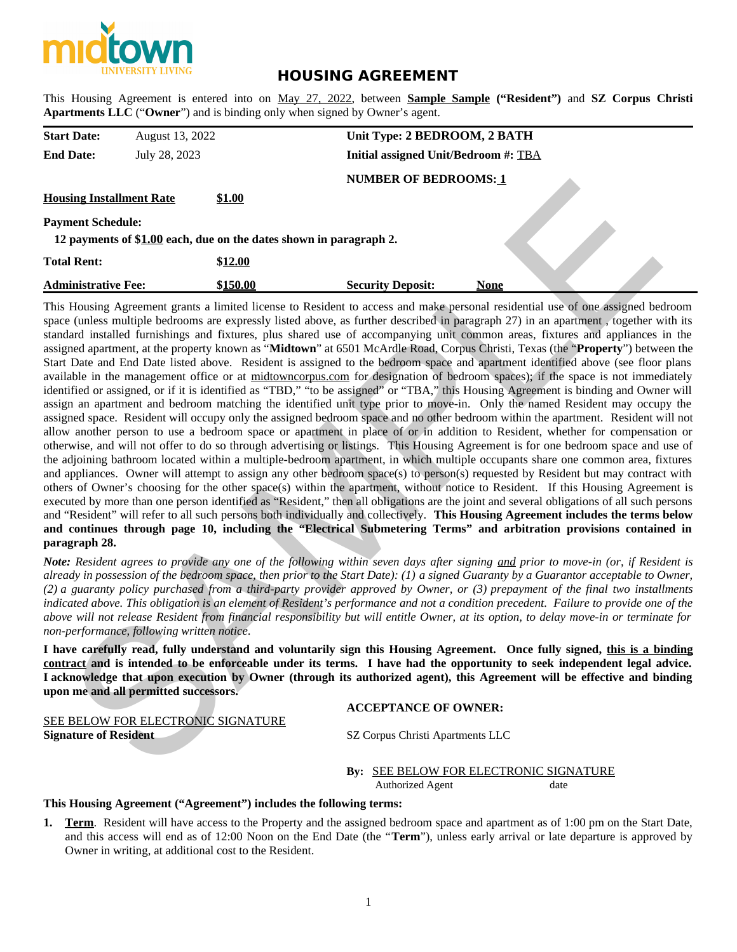

# **HOUSING AGREEMENT**

This Housing Agreement is entered into on May 27, 2022, between **Sample Sample ("Resident")** and **SZ Corpus Christi Apartments LLC** ("**Owner**") and is binding only when signed by Owner's agent.

| <b>Start Date:</b>                                                                             | August 13, 2022 |          | Unit Type: 2 BEDROOM, 2 BATH         |             |  |  |  |
|------------------------------------------------------------------------------------------------|-----------------|----------|--------------------------------------|-------------|--|--|--|
| <b>End Date:</b>                                                                               | July 28, 2023   |          | Initial assigned Unit/Bedroom #: TBA |             |  |  |  |
|                                                                                                |                 |          | <b>NUMBER OF BEDROOMS: 1</b>         |             |  |  |  |
| <b>Housing Installment Rate</b>                                                                |                 | \$1.00   |                                      |             |  |  |  |
| <b>Payment Schedule:</b><br>12 payments of \$1.00 each, due on the dates shown in paragraph 2. |                 |          |                                      |             |  |  |  |
| <b>Total Rent:</b>                                                                             |                 | \$12.00  |                                      |             |  |  |  |
| <b>Administrative Fee:</b>                                                                     |                 | \$150.00 | <b>Security Deposit:</b>             | <b>None</b> |  |  |  |

This Housing Agreement grants a limited license to Resident to access and make personal residential use of one assigned bedroom space (unless multiple bedrooms are expressly listed above, as further described in paragraph 27) in an apartment , together with its standard installed furnishings and fixtures, plus shared use of accompanying unit common areas, fixtures and appliances in the assigned apartment, at the property known as "**Midtown**" at 6501 McArdle Road, Corpus Christi, Texas (the "**Property**") between the Start Date and End Date listed above. Resident is assigned to the bedroom space and apartment identified above (see floor plans available in the management office or at midtowncorpus.com for designation of bedroom spaces); if the space is not immediately identified or assigned, or if it is identified as "TBD," "to be assigned" or "TBA," this Housing Agreement is binding and Owner will assign an apartment and bedroom matching the identified unit type prior to move-in. Only the named Resident may occupy the assigned space. Resident will occupy only the assigned bedroom space and no other bedroom within the apartment. Resident will not allow another person to use a bedroom space or apartment in place of or in addition to Resident, whether for compensation or otherwise, and will not offer to do so through advertising or listings. This Housing Agreement is for one bedroom space and use of the adjoining bathroom located within a multiple-bedroom apartment, in which multiple occupants share one common area, fixtures and appliances. Owner will attempt to assign any other bedroom space(s) to person(s) requested by Resident but may contract with others of Owner's choosing for the other space(s) within the apartment, without notice to Resident. If this Housing Agreement is executed by more than one person identified as "Resident," then all obligations are the joint and several obligations of all such persons and "Resident" will refer to all such persons both individually and collectively. **This Housing Agreement includes the terms below and continues through page 10, including the "Electrical Submetering Terms" and arbitration provisions contained in paragraph 28.** Sing Installment Rate 51.00<br>
NONIMER OF MEDICIONSE:1<br>
near Schedule:<br>
NET SCHEME exch, due on the dates shown in paragraph 2,<br>
near Schedule:<br>
Hexat: 51.00 exchange Applications of Simple Discussion Resident Deposit:<br>
NET

*Note: Resident agrees to provide any one of the following within seven days after signing and prior to move-in (or, if Resident is already in possession of the bedroom space, then prior to the Start Date): (1) a signed Guaranty by a Guarantor acceptable to Owner, (2) a guaranty policy purchased from a third-party provider approved by Owner, or (3) prepayment of the final two installments indicated above. This obligation is an element of Resident's performance and not a condition precedent. Failure to provide one of the above will not release Resident from financial responsibility but will entitle Owner, at its option, to delay move-in or terminate for non-performance, following written notice.*

**I have carefully read, fully understand and voluntarily sign this Housing Agreement. Once fully signed, this is a binding contract and is intended to be enforceable under its terms. I have had the opportunity to seek independent legal advice. I acknowledge that upon execution by Owner (through its authorized agent), this Agreement will be effective and binding upon me and all permitted successors.**

SEE BELOW FOR ELECTRONIC SIGNATURE **Signature of Resident SZ Corpus Christi Apartments LLC** 

## **ACCEPTANCE OF OWNER:**

**By:** SEE BELOW FOR ELECTRONIC SIGNATURE Authorized Agent date

## **This Housing Agreement ("Agreement") includes the following terms:**

**1. Term**. Resident will have access to the Property and the assigned bedroom space and apartment as of 1:00 pm on the Start Date, and this access will end as of 12:00 Noon on the End Date (the "**Term**"), unless early arrival or late departure is approved by Owner in writing, at additional cost to the Resident.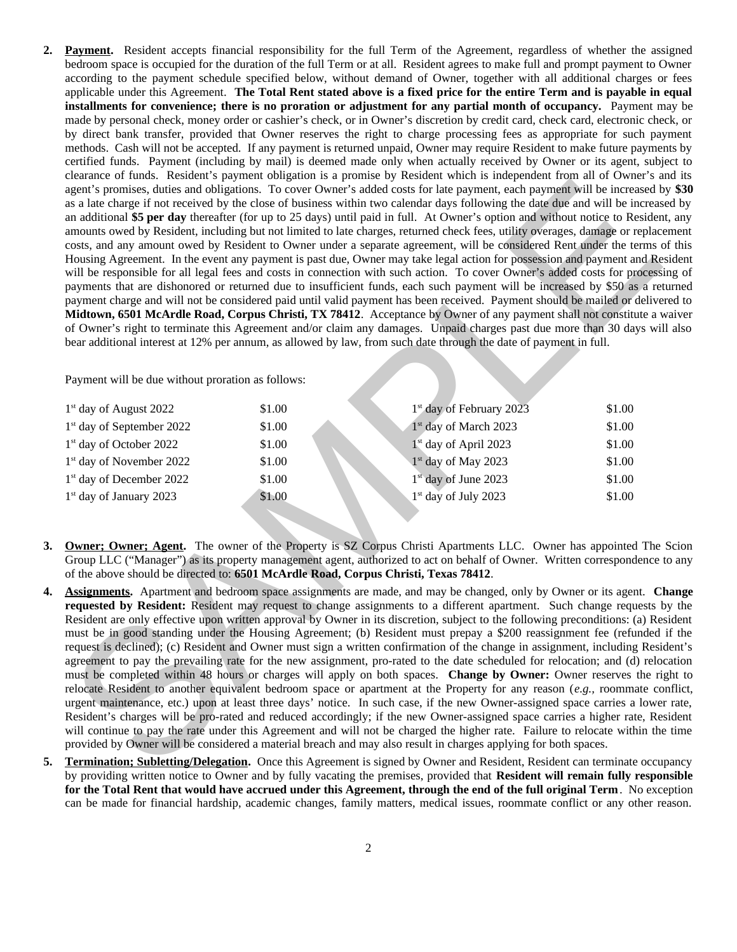**2. Payment.** Resident accepts financial responsibility for the full Term of the Agreement, regardless of whether the assigned bedroom space is occupied for the duration of the full Term or at all. Resident agrees to make full and prompt payment to Owner according to the payment schedule specified below, without demand of Owner, together with all additional charges or fees applicable under this Agreement. **The Total Rent stated above is a fixed price for the entire Term and is payable in equal installments for convenience; there is no proration or adjustment for any partial month of occupancy.** Payment may be made by personal check, money order or cashier's check, or in Owner's discretion by credit card, check card, electronic check, or by direct bank transfer, provided that Owner reserves the right to charge processing fees as appropriate for such payment methods. Cash will not be accepted. If any payment is returned unpaid, Owner may require Resident to make future payments by certified funds. Payment (including by mail) is deemed made only when actually received by Owner or its agent, subject to clearance of funds. Resident's payment obligation is a promise by Resident which is independent from all of Owner's and its agent's promises, duties and obligations. To cover Owner's added costs for late payment, each payment will be increased by **\$30** as a late charge if not received by the close of business within two calendar days following the date due and will be increased by an additional **\$5 per day** thereafter (for up to 25 days) until paid in full. At Owner's option and without notice to Resident, any amounts owed by Resident, including but not limited to late charges, returned check fees, utility overages, damage or replacement costs, and any amount owed by Resident to Owner under a separate agreement, will be considered Rent under the terms of this Housing Agreement. In the event any payment is past due, Owner may take legal action for possession and payment and Resident will be responsible for all legal fees and costs in connection with such action. To cover Owner's added costs for processing of payments that are dishonored or returned due to insufficient funds, each such payment will be increased by \$50 as a returned payment charge and will not be considered paid until valid payment has been received. Payment should be mailed or delivered to **Midtown, 6501 McArdle Road, Corpus Christi, TX 78412**. Acceptance by Owner of any payment shall not constitute a waiver of Owner's right to terminate this Agreement and/or claim any damages. Unpaid charges past due more than 30 days will also bear additional interest at 12% per annum, as allowed by law, from such date through the date of payment in full. Example on the state of the state of the state of the state of the state of the state of the state of the state of the state of the state of the state of the state of the state of the state of the state of the state of th

Payment will be due without proration as follows:

| $1st$ day of August 2022              | \$1.00 | $1st$ day of February 2023        | \$1.00 |
|---------------------------------------|--------|-----------------------------------|--------|
| 1 <sup>st</sup> day of September 2022 | \$1.00 | 1 <sup>st</sup> day of March 2023 | \$1.00 |
| 1 <sup>st</sup> day of October 2022   | \$1.00 | 1 <sup>st</sup> day of April 2023 | \$1.00 |
| 1 <sup>st</sup> day of November 2022  | \$1.00 | 1 <sup>st</sup> day of May 2023   | \$1.00 |
| $1st$ day of December 2022            | \$1.00 | $1st$ day of June 2023            | \$1.00 |
| $1st$ day of January 2023             | \$1.00 | 1 <sup>st</sup> day of July 2023  | \$1.00 |

- **3. Owner; Owner; Agent.** The owner of the Property is SZ Corpus Christi Apartments LLC. Owner has appointed The Scion Group LLC ("Manager") as its property management agent, authorized to act on behalf of Owner. Written correspondence to any of the above should be directed to: **6501 McArdle Road, Corpus Christi, Texas 78412**.
- **4. Assignments.** Apartment and bedroom space assignments are made, and may be changed, only by Owner or its agent. **Change requested by Resident:** Resident may request to change assignments to a different apartment. Such change requests by the Resident are only effective upon written approval by Owner in its discretion, subject to the following preconditions: (a) Resident must be in good standing under the Housing Agreement; (b) Resident must prepay a \$200 reassignment fee (refunded if the request is declined); (c) Resident and Owner must sign a written confirmation of the change in assignment, including Resident's agreement to pay the prevailing rate for the new assignment, pro-rated to the date scheduled for relocation; and (d) relocation must be completed within 48 hours or charges will apply on both spaces. **Change by Owner:** Owner reserves the right to relocate Resident to another equivalent bedroom space or apartment at the Property for any reason (*e.g.,* roommate conflict, urgent maintenance, etc.) upon at least three days' notice. In such case, if the new Owner-assigned space carries a lower rate, Resident's charges will be pro-rated and reduced accordingly; if the new Owner-assigned space carries a higher rate, Resident will continue to pay the rate under this Agreement and will not be charged the higher rate. Failure to relocate within the time provided by Owner will be considered a material breach and may also result in charges applying for both spaces.
- **5. Termination; Subletting/Delegation.** Once this Agreement is signed by Owner and Resident, Resident can terminate occupancy by providing written notice to Owner and by fully vacating the premises, provided that **Resident will remain fully responsible for the Total Rent that would have accrued under this Agreement, through the end of the full original Term**. No exception can be made for financial hardship, academic changes, family matters, medical issues, roommate conflict or any other reason.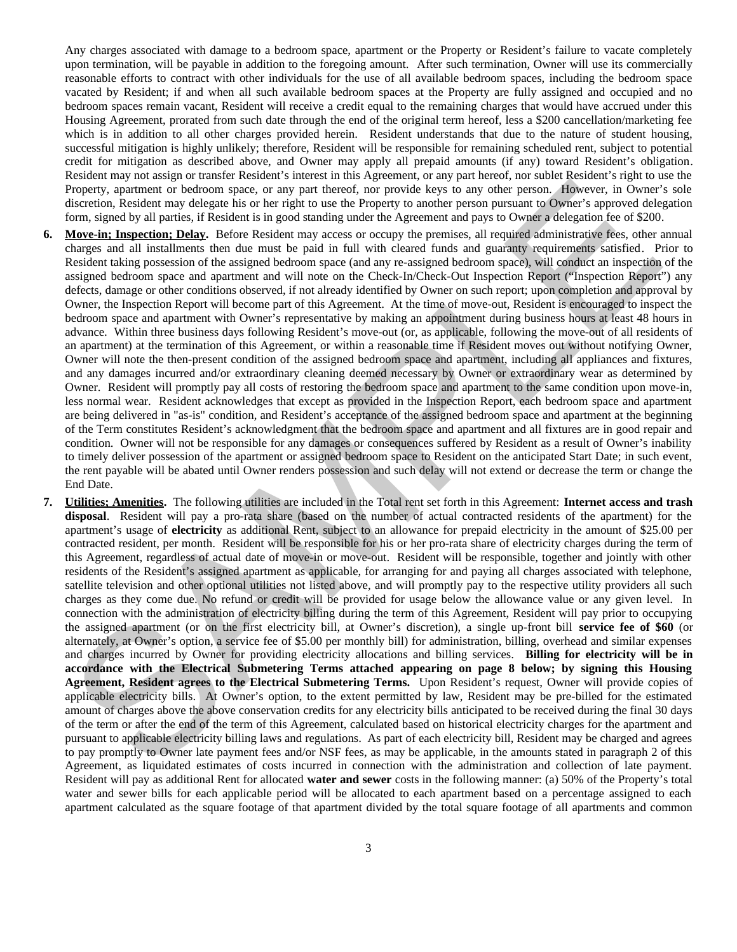Any charges associated with damage to a bedroom space, apartment or the Property or Resident's failure to vacate completely upon termination, will be payable in addition to the foregoing amount. After such termination, Owner will use its commercially reasonable efforts to contract with other individuals for the use of all available bedroom spaces, including the bedroom space vacated by Resident; if and when all such available bedroom spaces at the Property are fully assigned and occupied and no bedroom spaces remain vacant, Resident will receive a credit equal to the remaining charges that would have accrued under this Housing Agreement, prorated from such date through the end of the original term hereof, less a \$200 cancellation/marketing fee which is in addition to all other charges provided herein. Resident understands that due to the nature of student housing, successful mitigation is highly unlikely; therefore, Resident will be responsible for remaining scheduled rent, subject to potential credit for mitigation as described above, and Owner may apply all prepaid amounts (if any) toward Resident's obligation. Resident may not assign or transfer Resident's interest in this Agreement, or any part hereof, nor sublet Resident's right to use the Property, apartment or bedroom space, or any part thereof, nor provide keys to any other person. However, in Owner's sole discretion, Resident may delegate his or her right to use the Property to another person pursuant to Owner's approved delegation form, signed by all parties, if Resident is in good standing under the Agreement and pays to Owner a delegation fee of \$200.

- **6. Move-in; Inspection; Delay.** Before Resident may access or occupy the premises, all required administrative fees, other annual charges and all installments then due must be paid in full with cleared funds and guaranty requirements satisfied. Prior to Resident taking possession of the assigned bedroom space (and any re-assigned bedroom space), will conduct an inspection of the assigned bedroom space and apartment and will note on the Check-In/Check-Out Inspection Report ("Inspection Report") any defects, damage or other conditions observed, if not already identified by Owner on such report; upon completion and approval by Owner, the Inspection Report will become part of this Agreement. At the time of move-out, Resident is encouraged to inspect the bedroom space and apartment with Owner's representative by making an appointment during business hours at least 48 hours in advance. Within three business days following Resident's move-out (or, as applicable, following the move-out of all residents of an apartment) at the termination of this Agreement, or within a reasonable time if Resident moves out without notifying Owner, Owner will note the then-present condition of the assigned bedroom space and apartment, including all appliances and fixtures, and any damages incurred and/or extraordinary cleaning deemed necessary by Owner or extraordinary wear as determined by Owner. Resident will promptly pay all costs of restoring the bedroom space and apartment to the same condition upon move-in, less normal wear. Resident acknowledges that except as provided in the Inspection Report, each bedroom space and apartment are being delivered in "as-is" condition, and Resident's acceptance of the assigned bedroom space and apartment at the beginning of the Term constitutes Resident's acknowledgment that the bedroom space and apartment and all fixtures are in good repair and condition. Owner will not be responsible for any damages or consequences suffered by Resident as a result of Owner's inability to timely deliver possession of the apartment or assigned bedroom space to Resident on the anticipated Start Date; in such event, the rent payable will be abated until Owner renders possession and such delay will not extend or decrease the term or change the End Date.
- **7. Utilities; Amenities.** The following utilities are included in the Total rent set forth in this Agreement: **Internet access and trash disposal**. Resident will pay a pro-rata share (based on the number of actual contracted residents of the apartment) for the apartment's usage of **electricity** as additional Rent, subject to an allowance for prepaid electricity in the amount of \$25.00 per contracted resident, per month. Resident will be responsible for his or her pro-rata share of electricity charges during the term of this Agreement, regardless of actual date of move-in or move-out. Resident will be responsible, together and jointly with other residents of the Resident's assigned apartment as applicable, for arranging for and paying all charges associated with telephone, satellite television and other optional utilities not listed above, and will promptly pay to the respective utility providers all such charges as they come due. No refund or credit will be provided for usage below the allowance value or any given level. In connection with the administration of electricity billing during the term of this Agreement, Resident will pay prior to occupying the assigned apartment (or on the first electricity bill, at Owner's discretion), a single up-front bill **service fee of \$60** (or alternately, at Owner's option, a service fee of \$5.00 per monthly bill) for administration, billing, overhead and similar expenses and charges incurred by Owner for providing electricity allocations and billing services. **Billing for electricity will be in accordance with the Electrical Submetering Terms attached appearing on page 8 below; by signing this Housing Agreement, Resident agrees to the Electrical Submetering Terms.** Upon Resident's request, Owner will provide copies of applicable electricity bills. At Owner's option, to the extent permitted by law, Resident may be pre-billed for the estimated amount of charges above the above conservation credits for any electricity bills anticipated to be received during the final 30 days of the term or after the end of the term of this Agreement, calculated based on historical electricity charges for the apartment and pursuant to applicable electricity billing laws and regulations. As part of each electricity bill, Resident may be charged and agrees to pay promptly to Owner late payment fees and/or NSF fees, as may be applicable, in the amounts stated in paragraph 2 of this Agreement, as liquidated estimates of costs incurred in connection with the administration and collection of late payment. Resident will pay as additional Rent for allocated **water and sewer** costs in the following manner: (a) 50% of the Property's total water and sewer bills for each applicable period will be allocated to each apartment based on a percentage assigned to each apartment calculated as the square footage of that apartment divided by the total square footage of all apartments and common Process wanter and the main vacance of the state of the state of the state of the state of the state of the state of the state of the state of the state of the state of the state of the state of the state of the state of t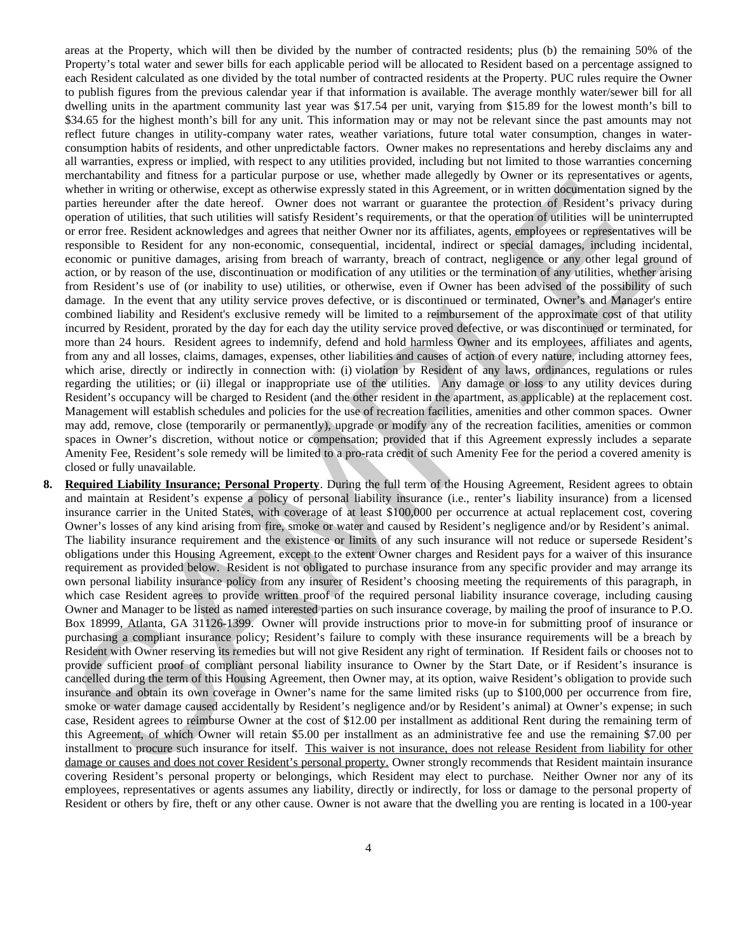areas at the Property, which will then be divided by the number of contracted residents; plus (b) the remaining 50% of the Property's total water and sewer bills for each applicable period will be allocated to Resident based on a percentage assigned to each Resident calculated as one divided by the total number of contracted residents at the Property. PUC rules require the Owner to publish figures from the previous calendar year if that information is available. The average monthly water/sewer bill for all dwelling units in the apartment community last year was \$17.54 per unit, varying from \$15.89 for the lowest month's bill to \$34.65 for the highest month's bill for any unit. This information may or may not be relevant since the past amounts may not reflect future changes in utility-company water rates, weather variations, future total water consumption, changes in waterconsumption habits of residents, and other unpredictable factors. Owner makes no representations and hereby disclaims any and all warranties, express or implied, with respect to any utilities provided, including but not limited to those warranties concerning merchantability and fitness for a particular purpose or use, whether made allegedly by Owner or its representatives or agents, whether in writing or otherwise, except as otherwise expressly stated in this Agreement, or in written documentation signed by the parties hereunder after the date hereof. Owner does not warrant or guarantee the protection of Resident's privacy during operation of utilities, that such utilities will satisfy Resident's requirements, or that the operation of utilities will be uninterrupted or error free. Resident acknowledges and agrees that neither Owner nor its affiliates, agents, employees or representatives will be responsible to Resident for any non-economic, consequential, incidental, indirect or special damages, including incidental, economic or punitive damages, arising from breach of warranty, breach of contract, negligence or any other legal ground of action, or by reason of the use, discontinuation or modification of any utilities or the termination of any utilities, whether arising from Resident's use of (or inability to use) utilities, or otherwise, even if Owner has been advised of the possibility of such damage. In the event that any utility service proves defective, or is discontinued or terminated, Owner's and Manager's entire combined liability and Resident's exclusive remedy will be limited to a reimbursement of the approximate cost of that utility incurred by Resident, prorated by the day for each day the utility service proved defective, or was discontinued or terminated, for more than 24 hours. Resident agrees to indemnify, defend and hold harmless Owner and its employees, affiliates and agents, from any and all losses, claims, damages, expenses, other liabilities and causes of action of every nature, including attorney fees, which arise, directly or indirectly in connection with: (i) violation by Resident of any laws, ordinances, regulations or rules regarding the utilities; or (ii) illegal or inappropriate use of the utilities. Any damage or loss to any utility devices during Resident's occupancy will be charged to Resident (and the other resident in the apartment, as applicable) at the replacement cost. Management will establish schedules and policies for the use of recreation facilities, amenities and other common spaces. Owner may add, remove, close (temporarily or permanently), upgrade or modify any of the recreation facilities, amenities or common spaces in Owner's discretion, without notice or compensation; provided that if this Agreement expressly includes a separate Amenity Fee, Resident's sole remedy will be limited to a pro-rata credit of such Amenity Fee for the period a covered amenity is closed or fully unavailable. absolution with an uniter test areas and mixed on the same with the argument to the constraint and an expected for the same of the same of the same of the same of the same of the same of the same of the same of the same o

**8. Required Liability Insurance; Personal Property**. During the full term of the Housing Agreement, Resident agrees to obtain and maintain at Resident's expense a policy of personal liability insurance (i.e., renter's liability insurance) from a licensed insurance carrier in the United States, with coverage of at least \$100,000 per occurrence at actual replacement cost, covering Owner's losses of any kind arising from fire, smoke or water and caused by Resident's negligence and/or by Resident's animal. The liability insurance requirement and the existence or limits of any such insurance will not reduce or supersede Resident's obligations under this Housing Agreement, except to the extent Owner charges and Resident pays for a waiver of this insurance requirement as provided below. Resident is not obligated to purchase insurance from any specific provider and may arrange its own personal liability insurance policy from any insurer of Resident's choosing meeting the requirements of this paragraph, in which case Resident agrees to provide written proof of the required personal liability insurance coverage, including causing Owner and Manager to be listed as named interested parties on such insurance coverage, by mailing the proof of insurance to P.O. Box 18999, Atlanta, GA 31126-1399. Owner will provide instructions prior to move-in for submitting proof of insurance or purchasing a compliant insurance policy; Resident's failure to comply with these insurance requirements will be a breach by Resident with Owner reserving its remedies but will not give Resident any right of termination. If Resident fails or chooses not to provide sufficient proof of compliant personal liability insurance to Owner by the Start Date, or if Resident's insurance is cancelled during the term of this Housing Agreement, then Owner may, at its option, waive Resident's obligation to provide such insurance and obtain its own coverage in Owner's name for the same limited risks (up to \$100,000 per occurrence from fire, smoke or water damage caused accidentally by Resident's negligence and/or by Resident's animal) at Owner's expense; in such case, Resident agrees to reimburse Owner at the cost of \$12.00 per installment as additional Rent during the remaining term of this Agreement, of which Owner will retain \$5.00 per installment as an administrative fee and use the remaining \$7.00 per installment to procure such insurance for itself. This waiver is not insurance, does not release Resident from liability for other damage or causes and does not cover Resident's personal property. Owner strongly recommends that Resident maintain insurance covering Resident's personal property or belongings, which Resident may elect to purchase. Neither Owner nor any of its employees, representatives or agents assumes any liability, directly or indirectly, for loss or damage to the personal property of Resident or others by fire, theft or any other cause. Owner is not aware that the dwelling you are renting is located in a 100-year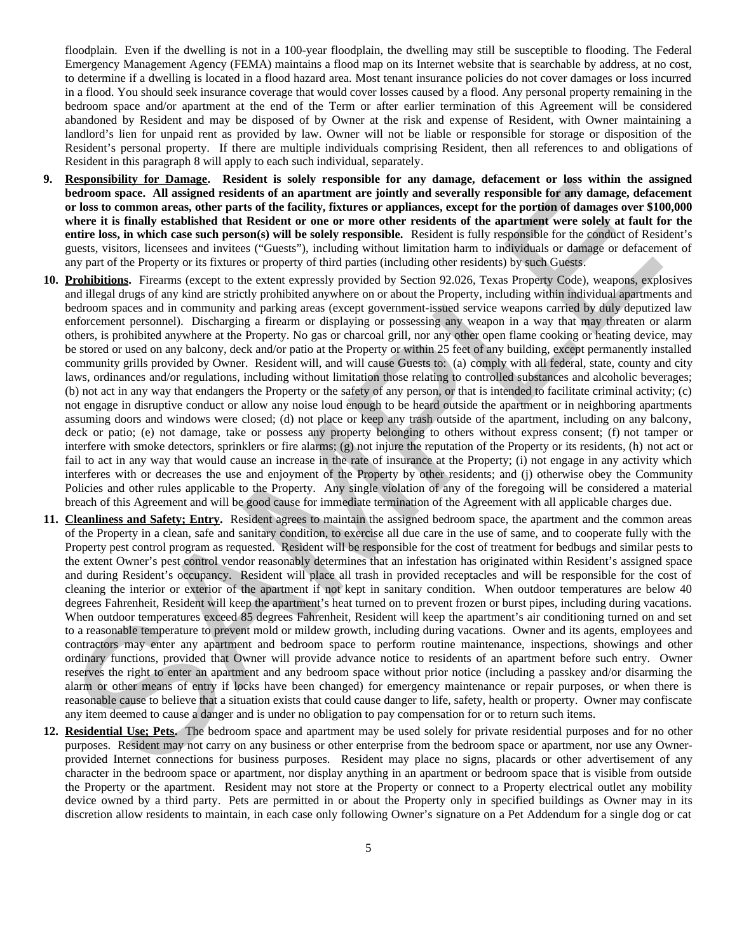floodplain. Even if the dwelling is not in a 100-year floodplain, the dwelling may still be susceptible to flooding. The Federal Emergency Management Agency (FEMA) maintains a flood map on its Internet website that is searchable by address, at no cost, to determine if a dwelling is located in a flood hazard area. Most tenant insurance policies do not cover damages or loss incurred in a flood. You should seek insurance coverage that would cover losses caused by a flood. Any personal property remaining in the bedroom space and/or apartment at the end of the Term or after earlier termination of this Agreement will be considered abandoned by Resident and may be disposed of by Owner at the risk and expense of Resident, with Owner maintaining a landlord's lien for unpaid rent as provided by law. Owner will not be liable or responsible for storage or disposition of the Resident's personal property. If there are multiple individuals comprising Resident, then all references to and obligations of Resident in this paragraph 8 will apply to each such individual, separately.

- **9. Responsibility for Damage. Resident is solely responsible for any damage, defacement or loss within the assigned bedroom space. All assigned residents of an apartment are jointly and severally responsible for any damage, defacement or loss to common areas, other parts of the facility, fixtures or appliances, except for the portion of damages over \$100,000 where it is finally established that Resident or one or more other residents of the apartment were solely at fault for the entire loss, in which case such person(s) will be solely responsible.** Resident is fully responsible for the conduct of Resident's guests, visitors, licensees and invitees ("Guests"), including without limitation harm to individuals or damage or defacement of any part of the Property or its fixtures or property of third parties (including other residents) by such Guests.
- **10. Prohibitions.** Firearms (except to the extent expressly provided by Section 92.026, Texas Property Code), weapons, explosives and illegal drugs of any kind are strictly prohibited anywhere on or about the Property, including within individual apartments and bedroom spaces and in community and parking areas (except government-issued service weapons carried by duly deputized law enforcement personnel). Discharging a firearm or displaying or possessing any weapon in a way that may threaten or alarm others, is prohibited anywhere at the Property. No gas or charcoal grill, nor any other open flame cooking or heating device, may be stored or used on any balcony, deck and/or patio at the Property or within 25 feet of any building, except permanently installed community grills provided by Owner. Resident will, and will cause Guests to: (a) comply with all federal, state, county and city laws, ordinances and/or regulations, including without limitation those relating to controlled substances and alcoholic beverages; (b) not act in any way that endangers the Property or the safety of any person, or that is intended to facilitate criminal activity; (c) not engage in disruptive conduct or allow any noise loud enough to be heard outside the apartment or in neighboring apartments assuming doors and windows were closed; (d) not place or keep any trash outside of the apartment, including on any balcony, deck or patio; (e) not damage, take or possess any property belonging to others without express consent; (f) not tamper or interfere with smoke detectors, sprinklers or fire alarms; (g) not injure the reputation of the Property or its residents, (h) not act or fail to act in any way that would cause an increase in the rate of insurance at the Property; (i) not engage in any activity which interferes with or decreases the use and enjoyment of the Property by other residents; and (j) otherwise obey the Community Policies and other rules applicable to the Property. Any single violation of any of the foregoing will be considered a material breach of this Agreement and will be good cause for immediate termination of the Agreement with all applicable charges due. **Expansion to the United Conservation is solely responsed for any damage, detectment or key stimule associates<br>of the method of the United Conservation of an apartment are jointy and severably responsible for any damage, d**
- **11. Cleanliness and Safety; Entry.** Resident agrees to maintain the assigned bedroom space, the apartment and the common areas of the Property in a clean, safe and sanitary condition, to exercise all due care in the use of same, and to cooperate fully with the Property pest control program as requested. Resident will be responsible for the cost of treatment for bedbugs and similar pests to the extent Owner's pest control vendor reasonably determines that an infestation has originated within Resident's assigned space and during Resident's occupancy. Resident will place all trash in provided receptacles and will be responsible for the cost of cleaning the interior or exterior of the apartment if not kept in sanitary condition. When outdoor temperatures are below 40 degrees Fahrenheit, Resident will keep the apartment's heat turned on to prevent frozen or burst pipes, including during vacations. When outdoor temperatures exceed 85 degrees Fahrenheit, Resident will keep the apartment's air conditioning turned on and set to a reasonable temperature to prevent mold or mildew growth, including during vacations. Owner and its agents, employees and contractors may enter any apartment and bedroom space to perform routine maintenance, inspections, showings and other ordinary functions, provided that Owner will provide advance notice to residents of an apartment before such entry. Owner reserves the right to enter an apartment and any bedroom space without prior notice (including a passkey and/or disarming the alarm or other means of entry if locks have been changed) for emergency maintenance or repair purposes, or when there is reasonable cause to believe that a situation exists that could cause danger to life, safety, health or property. Owner may confiscate any item deemed to cause a danger and is under no obligation to pay compensation for or to return such items.
- **12. Residential Use; Pets.** The bedroom space and apartment may be used solely for private residential purposes and for no other purposes. Resident may not carry on any business or other enterprise from the bedroom space or apartment, nor use any Ownerprovided Internet connections for business purposes. Resident may place no signs, placards or other advertisement of any character in the bedroom space or apartment, nor display anything in an apartment or bedroom space that is visible from outside the Property or the apartment. Resident may not store at the Property or connect to a Property electrical outlet any mobility device owned by a third party. Pets are permitted in or about the Property only in specified buildings as Owner may in its discretion allow residents to maintain, in each case only following Owner's signature on a Pet Addendum for a single dog or cat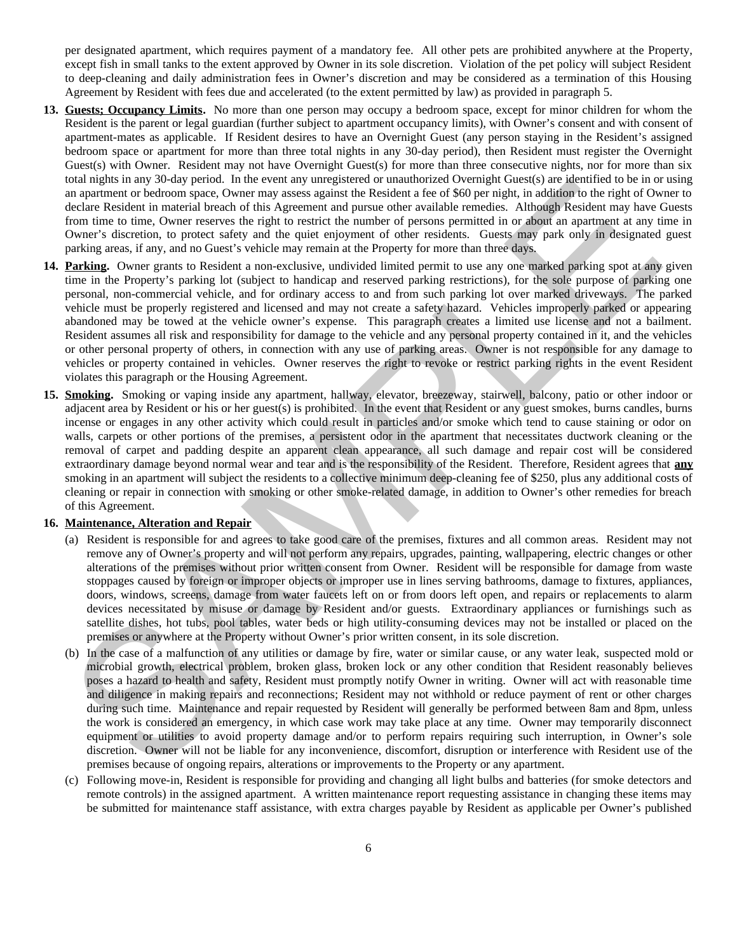per designated apartment, which requires payment of a mandatory fee. All other pets are prohibited anywhere at the Property, except fish in small tanks to the extent approved by Owner in its sole discretion. Violation of the pet policy will subject Resident to deep-cleaning and daily administration fees in Owner's discretion and may be considered as a termination of this Housing Agreement by Resident with fees due and accelerated (to the extent permitted by law) as provided in paragraph 5.

- **13. Guests; Occupancy Limits.** No more than one person may occupy a bedroom space, except for minor children for whom the Resident is the parent or legal guardian (further subject to apartment occupancy limits), with Owner's consent and with consent of apartment-mates as applicable. If Resident desires to have an Overnight Guest (any person staying in the Resident's assigned bedroom space or apartment for more than three total nights in any 30-day period), then Resident must register the Overnight Guest(s) with Owner. Resident may not have Overnight Guest(s) for more than three consecutive nights, nor for more than six total nights in any 30-day period. In the event any unregistered or unauthorized Overnight Guest(s) are identified to be in or using an apartment or bedroom space, Owner may assess against the Resident a fee of \$60 per night, in addition to the right of Owner to declare Resident in material breach of this Agreement and pursue other available remedies. Although Resident may have Guests from time to time, Owner reserves the right to restrict the number of persons permitted in or about an apartment at any time in Owner's discretion, to protect safety and the quiet enjoyment of other residents. Guests may park only in designated guest parking areas, if any, and no Guest's vehicle may remain at the Property for more than three days.
- **14. Parking.** Owner grants to Resident a non-exclusive, undivided limited permit to use any one marked parking spot at any given time in the Property's parking lot (subject to handicap and reserved parking restrictions), for the sole purpose of parking one personal, non-commercial vehicle, and for ordinary access to and from such parking lot over marked driveways. The parked vehicle must be properly registered and licensed and may not create a safety hazard. Vehicles improperly parked or appearing abandoned may be towed at the vehicle owner's expense. This paragraph creates a limited use license and not a bailment. Resident assumes all risk and responsibility for damage to the vehicle and any personal property contained in it, and the vehicles or other personal property of others, in connection with any use of parking areas. Owner is not responsible for any damage to vehicles or property contained in vehicles. Owner reserves the right to revoke or restrict parking rights in the event Resident violates this paragraph or the Housing Agreement. ata maps an any 30-say pend. In the event any unequenerate of unamorated Overaging the argument to be an any set of the event any set of the control of the state of the control of the control of the control of the control
- **15. Smoking.** Smoking or vaping inside any apartment, hallway, elevator, breezeway, stairwell, balcony, patio or other indoor or adjacent area by Resident or his or her guest(s) is prohibited. In the event that Resident or any guest smokes, burns candles, burns incense or engages in any other activity which could result in particles and/or smoke which tend to cause staining or odor on walls, carpets or other portions of the premises, a persistent odor in the apartment that necessitates ductwork cleaning or the removal of carpet and padding despite an apparent clean appearance, all such damage and repair cost will be considered extraordinary damage beyond normal wear and tear and is the responsibility of the Resident. Therefore, Resident agrees that **any** smoking in an apartment will subject the residents to a collective minimum deep-cleaning fee of \$250, plus any additional costs of cleaning or repair in connection with smoking or other smoke-related damage, in addition to Owner's other remedies for breach of this Agreement.

#### **16. Maintenance, Alteration and Repair**

- (a) Resident is responsible for and agrees to take good care of the premises, fixtures and all common areas. Resident may not remove any of Owner's property and will not perform any repairs, upgrades, painting, wallpapering, electric changes or other alterations of the premises without prior written consent from Owner. Resident will be responsible for damage from waste stoppages caused by foreign or improper objects or improper use in lines serving bathrooms, damage to fixtures, appliances, doors, windows, screens, damage from water faucets left on or from doors left open, and repairs or replacements to alarm devices necessitated by misuse or damage by Resident and/or guests. Extraordinary appliances or furnishings such as satellite dishes, hot tubs, pool tables, water beds or high utility-consuming devices may not be installed or placed on the premises or anywhere at the Property without Owner's prior written consent, in its sole discretion.
- (b) In the case of a malfunction of any utilities or damage by fire, water or similar cause, or any water leak, suspected mold or microbial growth, electrical problem, broken glass, broken lock or any other condition that Resident reasonably believes poses a hazard to health and safety, Resident must promptly notify Owner in writing. Owner will act with reasonable time and diligence in making repairs and reconnections; Resident may not withhold or reduce payment of rent or other charges during such time. Maintenance and repair requested by Resident will generally be performed between 8am and 8pm, unless the work is considered an emergency, in which case work may take place at any time. Owner may temporarily disconnect equipment or utilities to avoid property damage and/or to perform repairs requiring such interruption, in Owner's sole discretion. Owner will not be liable for any inconvenience, discomfort, disruption or interference with Resident use of the premises because of ongoing repairs, alterations or improvements to the Property or any apartment.
- (c) Following move-in, Resident is responsible for providing and changing all light bulbs and batteries (for smoke detectors and remote controls) in the assigned apartment. A written maintenance report requesting assistance in changing these items may be submitted for maintenance staff assistance, with extra charges payable by Resident as applicable per Owner's published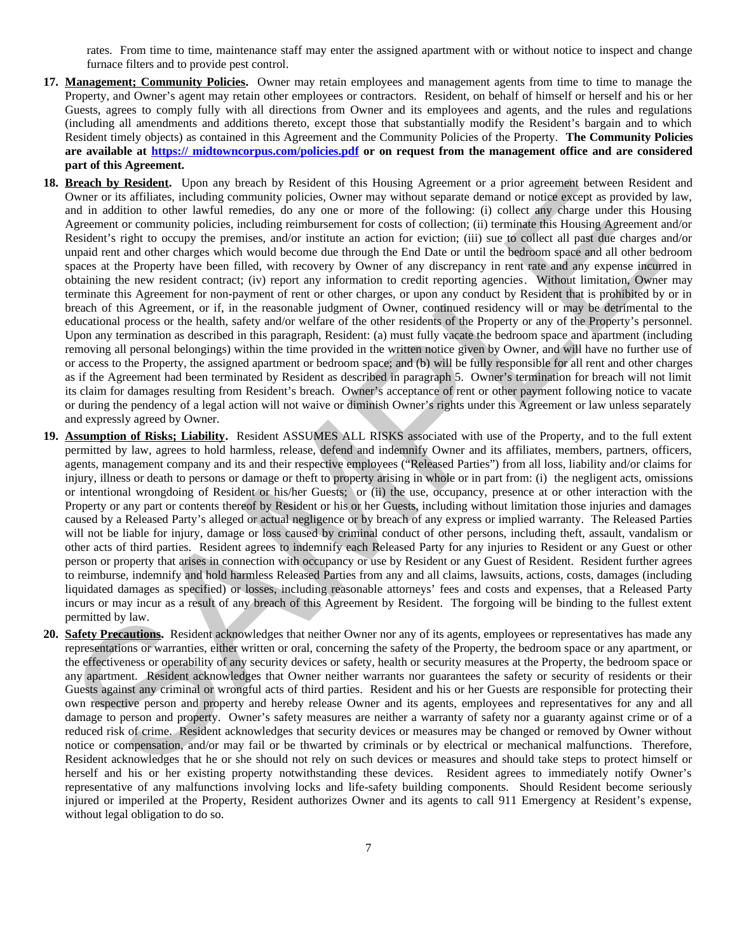rates. From time to time, maintenance staff may enter the assigned apartment with or without notice to inspect and change furnace filters and to provide pest control.

- **17. Management; Community Policies.** Owner may retain employees and management agents from time to time to manage the Property, and Owner's agent may retain other employees or contractors. Resident, on behalf of himself or herself and his or her Guests, agrees to comply fully with all directions from Owner and its employees and agents, and the rules and regulations (including all amendments and additions thereto, except those that substantially modify the Resident's bargain and to which Resident timely objects) as contained in this Agreement and the Community Policies of the Property. **The Community Policies are available at https:// midtowncorpus.com/policies.pdf or on request from the management office and are considered part of this Agreement.**
- **18. Breach by Resident.** Upon any breach by Resident of this Housing Agreement or a prior agreement between Resident and Owner or its affiliates, including community policies, Owner may without separate demand or notice except as provided by law, and in addition to other lawful remedies, do any one or more of the following: (i) collect any charge under this Housing Agreement or community policies, including reimbursement for costs of collection; (ii) terminate this Housing Agreement and/or Resident's right to occupy the premises, and/or institute an action for eviction; (iii) sue to collect all past due charges and/or unpaid rent and other charges which would become due through the End Date or until the bedroom space and all other bedroom spaces at the Property have been filled, with recovery by Owner of any discrepancy in rent rate and any expense incurred in obtaining the new resident contract; (iv) report any information to credit reporting agencies. Without limitation, Owner may terminate this Agreement for non-payment of rent or other charges, or upon any conduct by Resident that is prohibited by or in breach of this Agreement, or if, in the reasonable judgment of Owner, continued residency will or may be detrimental to the educational process or the health, safety and/or welfare of the other residents of the Property or any of the Property's personnel. Upon any termination as described in this paragraph, Resident: (a) must fully vacate the bedroom space and apartment (including removing all personal belongings) within the time provided in the written notice given by Owner, and will have no further use of or access to the Property, the assigned apartment or bedroom space; and (b) will be fully responsible for all rent and other charges as if the Agreement had been terminated by Resident as described in paragraph 5. Owner's termination for breach will not limit its claim for damages resulting from Resident's breach. Owner's acceptance of rent or other payment following notice to vacate or during the pendency of a legal action will not waive or diminish Owner's rights under this Agreement or law unless separately and expressly agreed by Owner. Breath by Resident. Upon any breath by Resident of this Housine Appennent or a prior agremate between Resident and added to the line of the state of the state of the state of the state of the state of the state of the stat
- **19. Assumption of Risks; Liability.** Resident ASSUMES ALL RISKS associated with use of the Property, and to the full extent permitted by law, agrees to hold harmless, release, defend and indemnify Owner and its affiliates, members, partners, officers, agents, management company and its and their respective employees ("Released Parties") from all loss, liability and/or claims for injury, illness or death to persons or damage or theft to property arising in whole or in part from: (i) the negligent acts, omissions or intentional wrongdoing of Resident or his/her Guests; or (ii) the use, occupancy, presence at or other interaction with the Property or any part or contents thereof by Resident or his or her Guests, including without limitation those injuries and damages caused by a Released Party's alleged or actual negligence or by breach of any express or implied warranty. The Released Parties will not be liable for injury, damage or loss caused by criminal conduct of other persons, including theft, assault, vandalism or other acts of third parties. Resident agrees to indemnify each Released Party for any injuries to Resident or any Guest or other person or property that arises in connection with occupancy or use by Resident or any Guest of Resident. Resident further agrees to reimburse, indemnify and hold harmless Released Parties from any and all claims, lawsuits, actions, costs, damages (including liquidated damages as specified) or losses, including reasonable attorneys' fees and costs and expenses, that a Released Party incurs or may incur as a result of any breach of this Agreement by Resident. The forgoing will be binding to the fullest extent permitted by law.
- **20. Safety Precautions.** Resident acknowledges that neither Owner nor any of its agents, employees or representatives has made any representations or warranties, either written or oral, concerning the safety of the Property, the bedroom space or any apartment, or the effectiveness or operability of any security devices or safety, health or security measures at the Property, the bedroom space or any apartment. Resident acknowledges that Owner neither warrants nor guarantees the safety or security of residents or their Guests against any criminal or wrongful acts of third parties. Resident and his or her Guests are responsible for protecting their own respective person and property and hereby release Owner and its agents, employees and representatives for any and all damage to person and property. Owner's safety measures are neither a warranty of safety nor a guaranty against crime or of a reduced risk of crime. Resident acknowledges that security devices or measures may be changed or removed by Owner without notice or compensation, and/or may fail or be thwarted by criminals or by electrical or mechanical malfunctions. Therefore, Resident acknowledges that he or she should not rely on such devices or measures and should take steps to protect himself or herself and his or her existing property notwithstanding these devices. Resident agrees to immediately notify Owner's representative of any malfunctions involving locks and life-safety building components. Should Resident become seriously injured or imperiled at the Property, Resident authorizes Owner and its agents to call 911 Emergency at Resident's expense, without legal obligation to do so.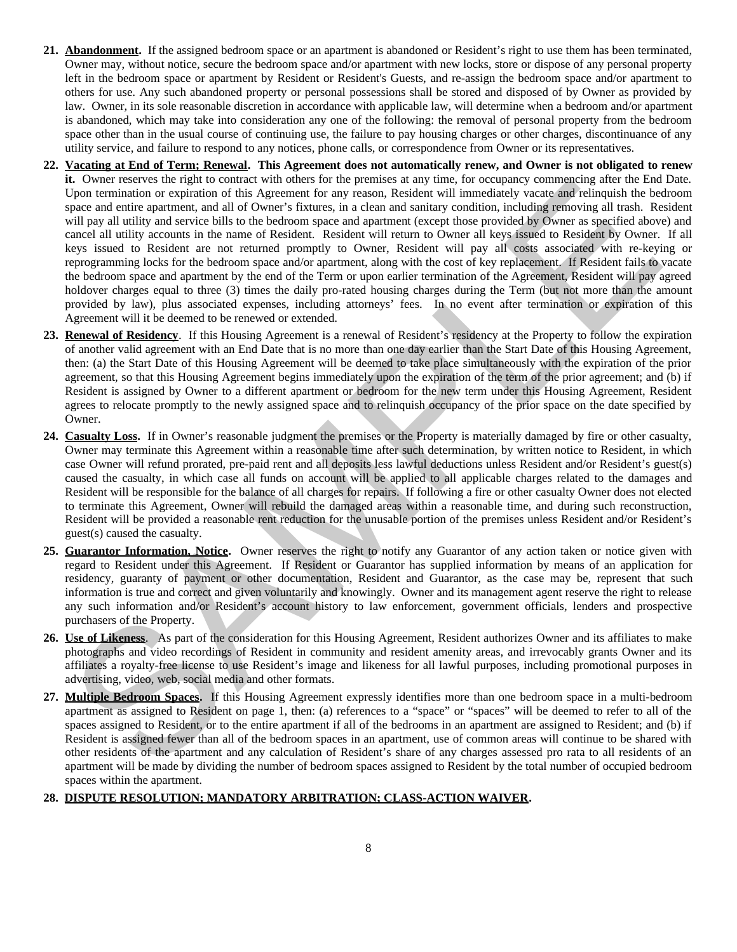- **21. Abandonment.** If the assigned bedroom space or an apartment is abandoned or Resident's right to use them has been terminated, Owner may, without notice, secure the bedroom space and/or apartment with new locks, store or dispose of any personal property left in the bedroom space or apartment by Resident or Resident's Guests, and re-assign the bedroom space and/or apartment to others for use. Any such abandoned property or personal possessions shall be stored and disposed of by Owner as provided by law. Owner, in its sole reasonable discretion in accordance with applicable law, will determine when a bedroom and/or apartment is abandoned, which may take into consideration any one of the following: the removal of personal property from the bedroom space other than in the usual course of continuing use, the failure to pay housing charges or other charges, discontinuance of any utility service, and failure to respond to any notices, phone calls, or correspondence from Owner or its representatives.
- **22. Vacating at End of Term; Renewal. This Agreement does not automatically renew, and Owner is not obligated to renew it.** Owner reserves the right to contract with others for the premises at any time, for occupancy commencing after the End Date. Upon termination or expiration of this Agreement for any reason, Resident will immediately vacate and relinquish the bedroom space and entire apartment, and all of Owner's fixtures, in a clean and sanitary condition, including removing all trash. Resident will pay all utility and service bills to the bedroom space and apartment (except those provided by Owner as specified above) and cancel all utility accounts in the name of Resident. Resident will return to Owner all keys issued to Resident by Owner. If all keys issued to Resident are not returned promptly to Owner, Resident will pay all costs associated with re-keying or reprogramming locks for the bedroom space and/or apartment, along with the cost of key replacement. If Resident fails to vacate the bedroom space and apartment by the end of the Term or upon earlier termination of the Agreement, Resident will pay agreed holdover charges equal to three (3) times the daily pro-rated housing charges during the Term (but not more than the amount provided by law), plus associated expenses, including attorneys' fees. In no event after termination or expiration of this Agreement will it be deemed to be renewed or extended. It. Ower reserves the rapid to content with ones for the permiss at any uns, to occupany commentary weak and the server is a multi-be permission of the content of the server is a statistic permission and the server is a st
- **23. Renewal of Residency**. If this Housing Agreement is a renewal of Resident's residency at the Property to follow the expiration of another valid agreement with an End Date that is no more than one day earlier than the Start Date of this Housing Agreement, then: (a) the Start Date of this Housing Agreement will be deemed to take place simultaneously with the expiration of the prior agreement, so that this Housing Agreement begins immediately upon the expiration of the term of the prior agreement; and (b) if Resident is assigned by Owner to a different apartment or bedroom for the new term under this Housing Agreement, Resident agrees to relocate promptly to the newly assigned space and to relinquish occupancy of the prior space on the date specified by Owner.
- **24. Casualty Loss.** If in Owner's reasonable judgment the premises or the Property is materially damaged by fire or other casualty, Owner may terminate this Agreement within a reasonable time after such determination, by written notice to Resident, in which case Owner will refund prorated, pre-paid rent and all deposits less lawful deductions unless Resident and/or Resident's guest(s) caused the casualty, in which case all funds on account will be applied to all applicable charges related to the damages and Resident will be responsible for the balance of all charges for repairs. If following a fire or other casualty Owner does not elected to terminate this Agreement, Owner will rebuild the damaged areas within a reasonable time, and during such reconstruction, Resident will be provided a reasonable rent reduction for the unusable portion of the premises unless Resident and/or Resident's guest(s) caused the casualty.
- **25. Guarantor Information, Notice.** Owner reserves the right to notify any Guarantor of any action taken or notice given with regard to Resident under this Agreement. If Resident or Guarantor has supplied information by means of an application for residency, guaranty of payment or other documentation, Resident and Guarantor, as the case may be, represent that such information is true and correct and given voluntarily and knowingly. Owner and its management agent reserve the right to release any such information and/or Resident's account history to law enforcement, government officials, lenders and prospective purchasers of the Property.
- **26. Use of Likeness**. As part of the consideration for this Housing Agreement, Resident authorizes Owner and its affiliates to make photographs and video recordings of Resident in community and resident amenity areas, and irrevocably grants Owner and its affiliates a royalty-free license to use Resident's image and likeness for all lawful purposes, including promotional purposes in advertising, video, web, social media and other formats.
- **27. Multiple Bedroom Spaces.** If this Housing Agreement expressly identifies more than one bedroom space in a multi-bedroom apartment as assigned to Resident on page 1, then: (a) references to a "space" or "spaces" will be deemed to refer to all of the spaces assigned to Resident, or to the entire apartment if all of the bedrooms in an apartment are assigned to Resident; and (b) if Resident is assigned fewer than all of the bedroom spaces in an apartment, use of common areas will continue to be shared with other residents of the apartment and any calculation of Resident's share of any charges assessed pro rata to all residents of an apartment will be made by dividing the number of bedroom spaces assigned to Resident by the total number of occupied bedroom spaces within the apartment.

#### **28. DISPUTE RESOLUTION; MANDATORY ARBITRATION; CLASS-ACTION WAIVER.**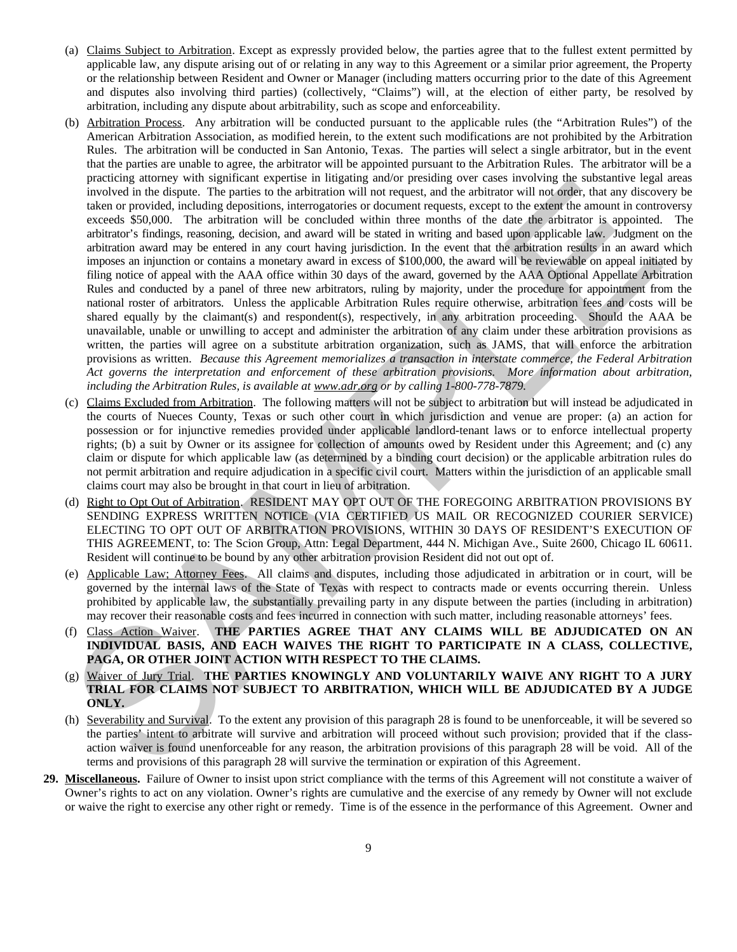- (a) Claims Subject to Arbitration. Except as expressly provided below, the parties agree that to the fullest extent permitted by applicable law, any dispute arising out of or relating in any way to this Agreement or a similar prior agreement, the Property or the relationship between Resident and Owner or Manager (including matters occurring prior to the date of this Agreement and disputes also involving third parties) (collectively, "Claims") will, at the election of either party, be resolved by arbitration, including any dispute about arbitrability, such as scope and enforceability.
- (b) Arbitration Process. Any arbitration will be conducted pursuant to the applicable rules (the "Arbitration Rules") of the American Arbitration Association, as modified herein, to the extent such modifications are not prohibited by the Arbitration Rules. The arbitration will be conducted in San Antonio, Texas. The parties will select a single arbitrator, but in the event that the parties are unable to agree, the arbitrator will be appointed pursuant to the Arbitration Rules. The arbitrator will be a practicing attorney with significant expertise in litigating and/or presiding over cases involving the substantive legal areas involved in the dispute. The parties to the arbitration will not request, and the arbitrator will not order, that any discovery be taken or provided, including depositions, interrogatories or document requests, except to the extent the amount in controversy exceeds \$50,000. The arbitration will be concluded within three months of the date the arbitrator is appointed. The arbitrator's findings, reasoning, decision, and award will be stated in writing and based upon applicable law. Judgment on the arbitration award may be entered in any court having jurisdiction. In the event that the arbitration results in an award which imposes an injunction or contains a monetary award in excess of \$100,000, the award will be reviewable on appeal initiated by filing notice of appeal with the AAA office within 30 days of the award, governed by the AAA Optional Appellate Arbitration Rules and conducted by a panel of three new arbitrators, ruling by majority, under the procedure for appointment from the national roster of arbitrators. Unless the applicable Arbitration Rules require otherwise, arbitration fees and costs will be shared equally by the claimant(s) and respondent(s), respectively, in any arbitration proceeding. Should the AAA be unavailable, unable or unwilling to accept and administer the arbitration of any claim under these arbitration provisions as written, the parties will agree on a substitute arbitration organization, such as JAMS, that will enforce the arbitration provisions as written. *Because this Agreement memorializes a transaction in interstate commerce, the Federal Arbitration Act governs the interpretation and enforcement of these arbitration provisions. More information about arbitration, including the Arbitration Rules, is available at www.adr.org or by calling 1-800-778-7879.* produced attention states and methods in the state in the state in the state in the state in the state in the protocol and the state in the state in the state in the state in the state in the state in the state in the sta
- (c) Claims Excluded from Arbitration. The following matters will not be subject to arbitration but will instead be adjudicated in the courts of Nueces County, Texas or such other court in which jurisdiction and venue are proper: (a) an action for possession or for injunctive remedies provided under applicable landlord-tenant laws or to enforce intellectual property rights; (b) a suit by Owner or its assignee for collection of amounts owed by Resident under this Agreement; and (c) any claim or dispute for which applicable law (as determined by a binding court decision) or the applicable arbitration rules do not permit arbitration and require adjudication in a specific civil court. Matters within the jurisdiction of an applicable small claims court may also be brought in that court in lieu of arbitration.
- (d) Right to Opt Out of Arbitration. RESIDENT MAY OPT OUT OF THE FOREGOING ARBITRATION PROVISIONS BY SENDING EXPRESS WRITTEN NOTICE (VIA CERTIFIED US MAIL OR RECOGNIZED COURIER SERVICE) ELECTING TO OPT OUT OF ARBITRATION PROVISIONS, WITHIN 30 DAYS OF RESIDENT'S EXECUTION OF THIS AGREEMENT, to: The Scion Group, Attn: Legal Department, 444 N. Michigan Ave., Suite 2600, Chicago IL 60611. Resident will continue to be bound by any other arbitration provision Resident did not out opt of.
- (e) Applicable Law; Attorney Fees. All claims and disputes, including those adjudicated in arbitration or in court, will be governed by the internal laws of the State of Texas with respect to contracts made or events occurring therein. Unless prohibited by applicable law, the substantially prevailing party in any dispute between the parties (including in arbitration) may recover their reasonable costs and fees incurred in connection with such matter, including reasonable attorneys' fees.
- (f) Class Action Waiver. **THE PARTIES AGREE THAT ANY CLAIMS WILL BE ADJUDICATED ON AN INDIVIDUAL BASIS, AND EACH WAIVES THE RIGHT TO PARTICIPATE IN A CLASS, COLLECTIVE, PAGA, OR OTHER JOINT ACTION WITH RESPECT TO THE CLAIMS.**
- (g) Waiver of Jury Trial. **THE PARTIES KNOWINGLY AND VOLUNTARILY WAIVE ANY RIGHT TO A JURY TRIAL FOR CLAIMS NOT SUBJECT TO ARBITRATION, WHICH WILL BE ADJUDICATED BY A JUDGE ONLY.**
- (h) Severability and Survival. To the extent any provision of this paragraph 28 is found to be unenforceable, it will be severed so the parties' intent to arbitrate will survive and arbitration will proceed without such provision; provided that if the classaction waiver is found unenforceable for any reason, the arbitration provisions of this paragraph 28 will be void. All of the terms and provisions of this paragraph 28 will survive the termination or expiration of this Agreement.
- **29. Miscellaneous.** Failure of Owner to insist upon strict compliance with the terms of this Agreement will not constitute a waiver of Owner's rights to act on any violation. Owner's rights are cumulative and the exercise of any remedy by Owner will not exclude or waive the right to exercise any other right or remedy. Time is of the essence in the performance of this Agreement. Owner and